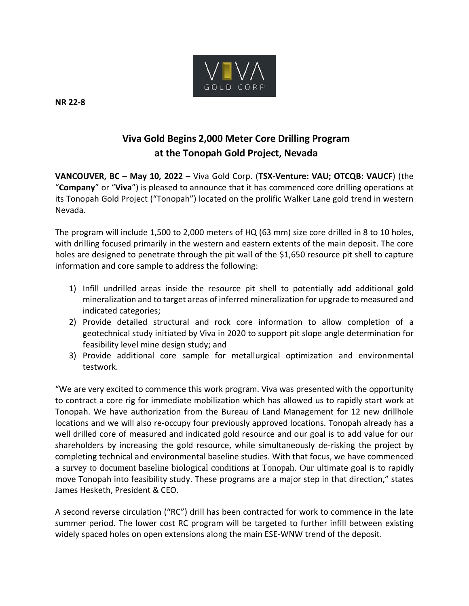

**NR 22-8**

# **Viva Gold Begins 2,000 Meter Core Drilling Program at the Tonopah Gold Project, Nevada**

**VANCOUVER, BC** – **May 10, 2022** – Viva Gold Corp. (**TSX-Venture: VAU; OTCQB: VAUCF**) (the "**Company**" or "**Viva**") is pleased to announce that it has commenced core drilling operations at its Tonopah Gold Project ("Tonopah") located on the prolific Walker Lane gold trend in western Nevada.

The program will include 1,500 to 2,000 meters of HQ (63 mm) size core drilled in 8 to 10 holes, with drilling focused primarily in the western and eastern extents of the main deposit. The core holes are designed to penetrate through the pit wall of the \$1,650 resource pit shell to capture information and core sample to address the following:

- 1) Infill undrilled areas inside the resource pit shell to potentially add additional gold mineralization and to target areas of inferred mineralization for upgrade to measured and indicated categories;
- 2) Provide detailed structural and rock core information to allow completion of a geotechnical study initiated by Viva in 2020 to support pit slope angle determination for feasibility level mine design study; and
- 3) Provide additional core sample for metallurgical optimization and environmental testwork.

"We are very excited to commence this work program. Viva was presented with the opportunity to contract a core rig for immediate mobilization which has allowed us to rapidly start work at Tonopah. We have authorization from the Bureau of Land Management for 12 new drillhole locations and we will also re-occupy four previously approved locations. Tonopah already has a well drilled core of measured and indicated gold resource and our goal is to add value for our shareholders by increasing the gold resource, while simultaneously de-risking the project by completing technical and environmental baseline studies. With that focus, we have commenced a survey to document baseline biological conditions at Tonopah. Our ultimate goal is to rapidly move Tonopah into feasibility study. These programs are a major step in that direction," states James Hesketh, President & CEO.

A second reverse circulation ("RC") drill has been contracted for work to commence in the late summer period. The lower cost RC program will be targeted to further infill between existing widely spaced holes on open extensions along the main ESE-WNW trend of the deposit.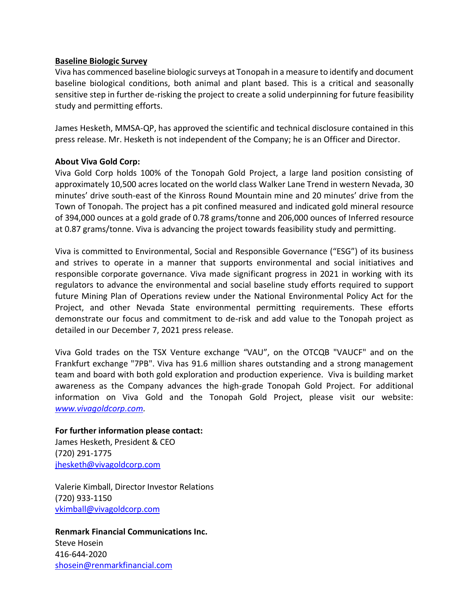## **Baseline Biologic Survey**

Viva has commenced baseline biologic surveys at Tonopah in a measure to identify and document baseline biological conditions, both animal and plant based. This is a critical and seasonally sensitive step in further de-risking the project to create a solid underpinning for future feasibility study and permitting efforts.

James Hesketh, MMSA-QP, has approved the scientific and technical disclosure contained in this press release. Mr. Hesketh is not independent of the Company; he is an Officer and Director.

# **About Viva Gold Corp:**

Viva Gold Corp holds 100% of the Tonopah Gold Project, a large land position consisting of approximately 10,500 acres located on the world class Walker Lane Trend in western Nevada, 30 minutes' drive south-east of the Kinross Round Mountain mine and 20 minutes' drive from the Town of Tonopah. The project has a pit confined measured and indicated gold mineral resource of 394,000 ounces at a gold grade of 0.78 grams/tonne and 206,000 ounces of Inferred resource at 0.87 grams/tonne. Viva is advancing the project towards feasibility study and permitting.

Viva is committed to Environmental, Social and Responsible Governance ("ESG") of its business and strives to operate in a manner that supports environmental and social initiatives and responsible corporate governance. Viva made significant progress in 2021 in working with its regulators to advance the environmental and social baseline study efforts required to support future Mining Plan of Operations review under the National Environmental Policy Act for the Project, and other Nevada State environmental permitting requirements. These efforts demonstrate our focus and commitment to de-risk and add value to the Tonopah project as detailed in our December 7, 2021 press release.

Viva Gold trades on the TSX Venture exchange "VAU", on the OTCQB "VAUCF" and on the Frankfurt exchange "7PB". Viva has 91.6 million shares outstanding and a strong management team and board with both gold exploration and production experience. Viva is building market awareness as the Company advances the high-grade Tonopah Gold Project. For additional information on Viva Gold and the Tonopah Gold Project, please visit our website: *www.vivagoldcorp.com.*

## **For further information please contact:**

James Hesketh, President & CEO (720) 291-1775 [jhesketh@vivagoldcorp.com](mailto:jhesketh@vivagoldcorp.com)

Valerie Kimball, Director Investor Relations (720) 933-1150 [vkimball@vivagoldcorp.com](mailto:vkimball@vivagoldcorp.com)

**Renmark Financial Communications Inc.** Steve Hosein 416-644-2020 [shosein@renmarkfinancial.com](mailto:shosein@renmarkfinancial.com)